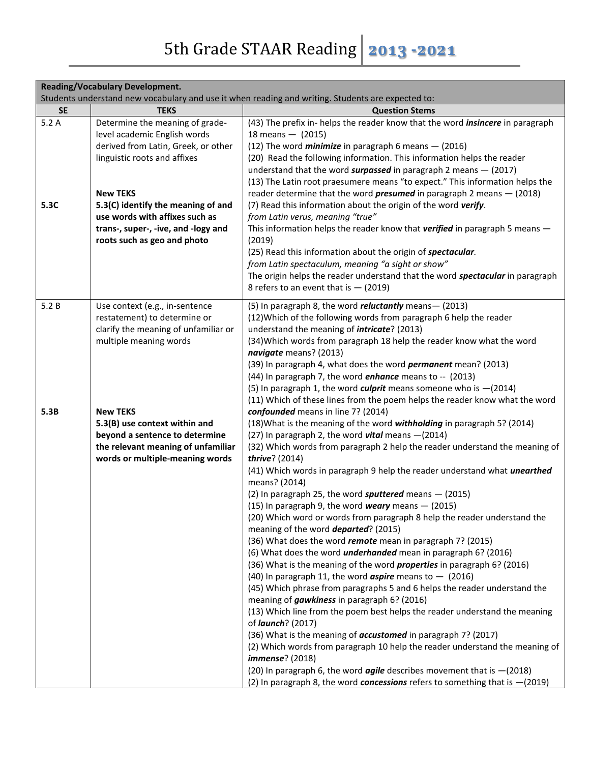|                                                                                                                                                                                                                                                                                                                         | <b>Reading/Vocabulary Development.</b>                                                                                                                                                                                                                                                                                                                                                                                                                                                                                                                                                                                                                                                                                                                                                                                                                                                                                                                                                                                                                                                                                                                                                                                                                                                                                                                                                                                                                                                                                                                                                                                                                                                                                                                                                                                                                                                                                                                                                                                                                                                                                                       |  |  |
|-------------------------------------------------------------------------------------------------------------------------------------------------------------------------------------------------------------------------------------------------------------------------------------------------------------------------|----------------------------------------------------------------------------------------------------------------------------------------------------------------------------------------------------------------------------------------------------------------------------------------------------------------------------------------------------------------------------------------------------------------------------------------------------------------------------------------------------------------------------------------------------------------------------------------------------------------------------------------------------------------------------------------------------------------------------------------------------------------------------------------------------------------------------------------------------------------------------------------------------------------------------------------------------------------------------------------------------------------------------------------------------------------------------------------------------------------------------------------------------------------------------------------------------------------------------------------------------------------------------------------------------------------------------------------------------------------------------------------------------------------------------------------------------------------------------------------------------------------------------------------------------------------------------------------------------------------------------------------------------------------------------------------------------------------------------------------------------------------------------------------------------------------------------------------------------------------------------------------------------------------------------------------------------------------------------------------------------------------------------------------------------------------------------------------------------------------------------------------------|--|--|
|                                                                                                                                                                                                                                                                                                                         | Students understand new vocabulary and use it when reading and writing. Students are expected to:                                                                                                                                                                                                                                                                                                                                                                                                                                                                                                                                                                                                                                                                                                                                                                                                                                                                                                                                                                                                                                                                                                                                                                                                                                                                                                                                                                                                                                                                                                                                                                                                                                                                                                                                                                                                                                                                                                                                                                                                                                            |  |  |
| <b>SE</b><br><b>TEKS</b>                                                                                                                                                                                                                                                                                                | <b>Question Stems</b>                                                                                                                                                                                                                                                                                                                                                                                                                                                                                                                                                                                                                                                                                                                                                                                                                                                                                                                                                                                                                                                                                                                                                                                                                                                                                                                                                                                                                                                                                                                                                                                                                                                                                                                                                                                                                                                                                                                                                                                                                                                                                                                        |  |  |
| 5.2A<br>Determine the meaning of grade-<br>level academic English words<br>derived from Latin, Greek, or other<br>linguistic roots and affixes<br><b>New TEKS</b><br>5.3C<br>5.3(C) identify the meaning of and<br>use words with affixes such as<br>trans-, super-, -ive, and -logy and<br>roots such as geo and photo | (43) The prefix in-helps the reader know that the word <i>insincere</i> in paragraph<br>18 means $-$ (2015)<br>(12) The word <i>minimize</i> in paragraph 6 means $-$ (2016)<br>(20) Read the following information. This information helps the reader<br>understand that the word surpassed in paragraph 2 means $-$ (2017)<br>(13) The Latin root praesumere means "to expect." This information helps the<br>reader determine that the word <i>presumed</i> in paragraph 2 means $-$ (2018)<br>(7) Read this information about the origin of the word verify.<br>from Latin verus, meaning "true"<br>This information helps the reader know that verified in paragraph 5 means -<br>(2019)<br>(25) Read this information about the origin of spectacular.<br>from Latin spectaculum, meaning "a sight or show"<br>The origin helps the reader understand that the word spectacular in paragraph<br>8 refers to an event that is $-$ (2019)                                                                                                                                                                                                                                                                                                                                                                                                                                                                                                                                                                                                                                                                                                                                                                                                                                                                                                                                                                                                                                                                                                                                                                                                |  |  |
| 5.2B<br>Use context (e.g., in-sentence<br>restatement) to determine or<br>clarify the meaning of unfamiliar or<br>multiple meaning words<br>5.3B<br><b>New TEKS</b><br>5.3(B) use context within and<br>beyond a sentence to determine<br>the relevant meaning of unfamiliar<br>words or multiple-meaning words         | (5) In paragraph 8, the word <i>reluctantly</i> means - (2013)<br>(12) Which of the following words from paragraph 6 help the reader<br>understand the meaning of <i>intricate</i> ? (2013)<br>(34) Which words from paragraph 18 help the reader know what the word<br>navigate means? (2013)<br>(39) In paragraph 4, what does the word <i>permanent</i> mean? (2013)<br>(44) In paragraph 7, the word <i>enhance</i> means to -- (2013)<br>(5) In paragraph 1, the word <i>culprit</i> means someone who is $-(2014)$<br>(11) Which of these lines from the poem helps the reader know what the word<br>confounded means in line 7? (2014)<br>(18) What is the meaning of the word withholding in paragraph 5? (2014)<br>(27) In paragraph 2, the word vital means - (2014)<br>(32) Which words from paragraph 2 help the reader understand the meaning of<br>thrive? (2014)<br>(41) Which words in paragraph 9 help the reader understand what <i>unearthed</i><br>means? (2014)<br>(2) In paragraph 25, the word sputtered means $-$ (2015)<br>(15) In paragraph 9, the word weary means $-$ (2015)<br>(20) Which word or words from paragraph 8 help the reader understand the<br>meaning of the word <i>departed</i> ? (2015)<br>(36) What does the word remote mean in paragraph 7? (2015)<br>(6) What does the word <i>underhanded</i> mean in paragraph 6? (2016)<br>(36) What is the meaning of the word <i>properties</i> in paragraph 6? (2016)<br>(40) In paragraph 11, the word <b>aspire</b> means to $-$ (2016)<br>(45) Which phrase from paragraphs 5 and 6 helps the reader understand the<br>meaning of <i>gawkiness</i> in paragraph 6? (2016)<br>(13) Which line from the poem best helps the reader understand the meaning<br>of <i>launch</i> ? (2017)<br>(36) What is the meaning of <b>accustomed</b> in paragraph 7? (2017)<br>(2) Which words from paragraph 10 help the reader understand the meaning of<br><i>immense</i> ? (2018)<br>(20) In paragraph 6, the word <b>agile</b> describes movement that is $-(2018)$<br>(2) In paragraph 8, the word <b>concessions</b> refers to something that is $-(2019)$ |  |  |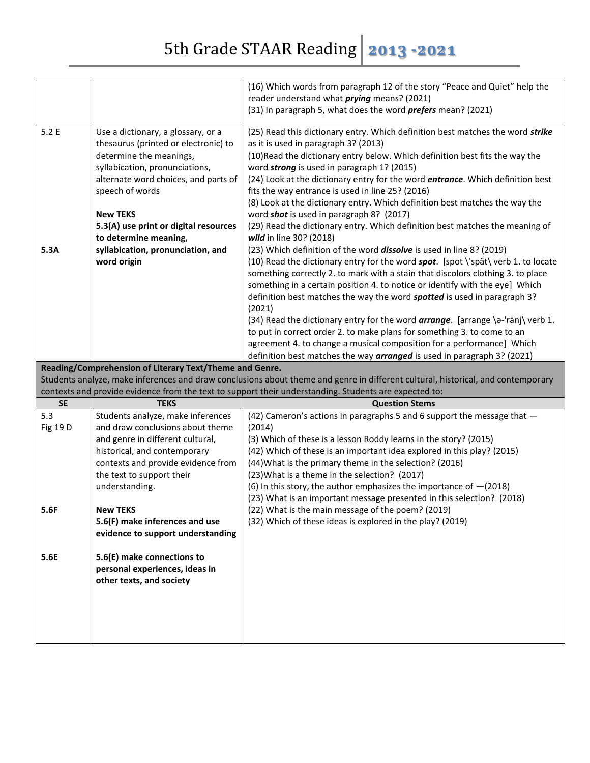|                  |                                                            | (16) Which words from paragraph 12 of the story "Peace and Quiet" help the                                                       |
|------------------|------------------------------------------------------------|----------------------------------------------------------------------------------------------------------------------------------|
|                  |                                                            | reader understand what <i>prying</i> means? (2021)                                                                               |
|                  |                                                            | (31) In paragraph 5, what does the word <i>prefers</i> mean? (2021)                                                              |
| 5.2E             | Use a dictionary, a glossary, or a                         | (25) Read this dictionary entry. Which definition best matches the word strike                                                   |
|                  | thesaurus (printed or electronic) to                       | as it is used in paragraph 3? (2013)                                                                                             |
|                  | determine the meanings,                                    | (10) Read the dictionary entry below. Which definition best fits the way the                                                     |
|                  | syllabication, pronunciations,                             | word strong is used in paragraph 1? (2015)                                                                                       |
|                  | alternate word choices, and parts of                       | (24) Look at the dictionary entry for the word entrance. Which definition best                                                   |
|                  | speech of words                                            | fits the way entrance is used in line 25? (2016)                                                                                 |
|                  | <b>New TEKS</b>                                            | (8) Look at the dictionary entry. Which definition best matches the way the<br>word shot is used in paragraph 8? (2017)          |
|                  | 5.3(A) use print or digital resources                      | (29) Read the dictionary entry. Which definition best matches the meaning of                                                     |
|                  | to determine meaning,                                      | wild in line 30? (2018)                                                                                                          |
| 5.3A             | syllabication, pronunciation, and                          | (23) Which definition of the word <i>dissolve</i> is used in line 8? (2019)                                                      |
|                  | word origin                                                | (10) Read the dictionary entry for the word spot. [spot \'spät\ verb 1. to locate                                                |
|                  |                                                            | something correctly 2. to mark with a stain that discolors clothing 3. to place                                                  |
|                  |                                                            | something in a certain position 4. to notice or identify with the eye] Which                                                     |
|                  |                                                            | definition best matches the way the word spotted is used in paragraph 3?<br>(2021)                                               |
|                  |                                                            | (34) Read the dictionary entry for the word <b>arrange</b> . [arrange \a-'ranj\ verb 1.                                          |
|                  |                                                            | to put in correct order 2. to make plans for something 3. to come to an                                                          |
|                  |                                                            | agreement 4. to change a musical composition for a performance] Which                                                            |
|                  |                                                            | definition best matches the way arranged is used in paragraph 3? (2021)                                                          |
|                  |                                                            |                                                                                                                                  |
|                  | Reading/Comprehension of Literary Text/Theme and Genre.    |                                                                                                                                  |
|                  |                                                            | Students analyze, make inferences and draw conclusions about theme and genre in different cultural, historical, and contemporary |
|                  | <b>TEKS</b>                                                | contexts and provide evidence from the text to support their understanding. Students are expected to:                            |
| <b>SE</b><br>5.3 | Students analyze, make inferences                          | <b>Question Stems</b><br>(42) Cameron's actions in paragraphs 5 and 6 support the message that -                                 |
| Fig 19 D         | and draw conclusions about theme                           | (2014)                                                                                                                           |
|                  | and genre in different cultural,                           | (3) Which of these is a lesson Roddy learns in the story? (2015)                                                                 |
|                  | historical, and contemporary                               | (42) Which of these is an important idea explored in this play? (2015)                                                           |
|                  | contexts and provide evidence from                         | (44) What is the primary theme in the selection? (2016)                                                                          |
|                  | the text to support their                                  | (23) What is a theme in the selection? (2017)                                                                                    |
|                  | understanding.                                             | (6) In this story, the author emphasizes the importance of $-(2018)$                                                             |
| 5.6F             | <b>New TEKS</b>                                            | (23) What is an important message presented in this selection? (2018)<br>(22) What is the main message of the poem? (2019)       |
|                  | 5.6(F) make inferences and use                             | (32) Which of these ideas is explored in the play? (2019)                                                                        |
|                  | evidence to support understanding                          |                                                                                                                                  |
|                  |                                                            |                                                                                                                                  |
| 5.6E             | 5.6(E) make connections to                                 |                                                                                                                                  |
|                  | personal experiences, ideas in<br>other texts, and society |                                                                                                                                  |
|                  |                                                            |                                                                                                                                  |
|                  |                                                            |                                                                                                                                  |
|                  |                                                            |                                                                                                                                  |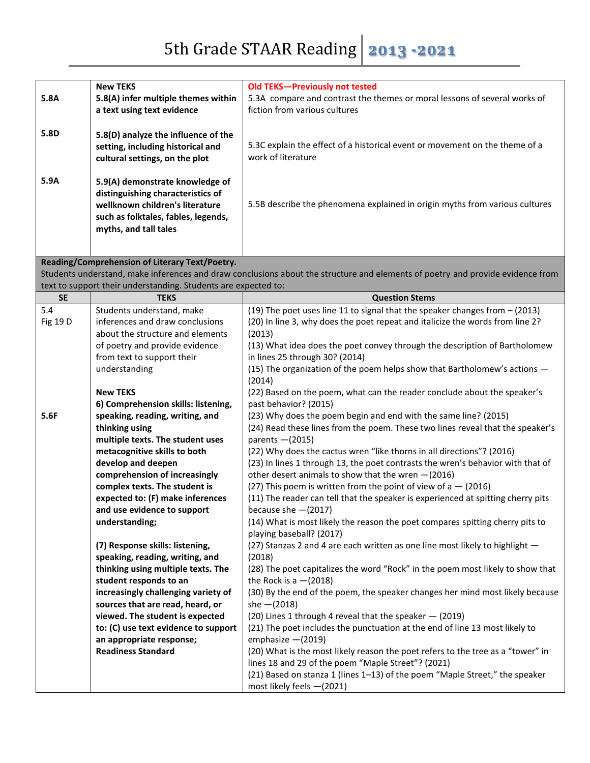|           | <b>New TEKS</b>                                                      | Old TEKS-Previously not tested                                                                                                    |
|-----------|----------------------------------------------------------------------|-----------------------------------------------------------------------------------------------------------------------------------|
| 5.8A      | 5.8(A) infer multiple themes within<br>a text using text evidence    | 5.3A compare and contrast the themes or moral lessons of several works of<br>fiction from various cultures                        |
|           |                                                                      |                                                                                                                                   |
| 5.8D      | 5.8(D) analyze the influence of the                                  |                                                                                                                                   |
|           | setting, including historical and                                    | 5.3C explain the effect of a historical event or movement on the theme of a                                                       |
|           | cultural settings, on the plot                                       | work of literature                                                                                                                |
|           |                                                                      |                                                                                                                                   |
| 5.9A      | 5.9(A) demonstrate knowledge of                                      |                                                                                                                                   |
|           | distinguishing characteristics of<br>wellknown children's literature | 5.5B describe the phenomena explained in origin myths from various cultures                                                       |
|           | such as folktales, fables, legends,                                  |                                                                                                                                   |
|           | myths, and tall tales                                                |                                                                                                                                   |
|           |                                                                      |                                                                                                                                   |
|           |                                                                      |                                                                                                                                   |
|           | Reading/Comprehension of Literary Text/Poetry.                       | Students understand, make inferences and draw conclusions about the structure and elements of poetry and provide evidence from    |
|           | text to support their understanding. Students are expected to:       |                                                                                                                                   |
| <b>SE</b> | <b>TEKS</b>                                                          | <b>Question Stems</b>                                                                                                             |
| 5.4       | Students understand, make                                            | $(19)$ The poet uses line 11 to signal that the speaker changes from $-$ (2013)                                                   |
| Fig 19 D  | inferences and draw conclusions                                      | (20) In line 3, why does the poet repeat and italicize the words from line 2?                                                     |
|           | about the structure and elements                                     | (2013)                                                                                                                            |
|           | of poetry and provide evidence                                       | (13) What idea does the poet convey through the description of Bartholomew                                                        |
|           | from text to support their                                           | in lines 25 through 30? (2014)                                                                                                    |
|           | understanding                                                        | (15) The organization of the poem helps show that Bartholomew's actions -                                                         |
|           | <b>New TEKS</b>                                                      | (2014)<br>(22) Based on the poem, what can the reader conclude about the speaker's                                                |
|           | 6) Comprehension skills: listening,                                  | past behavior? (2015)                                                                                                             |
| 5.6F      | speaking, reading, writing, and                                      | (23) Why does the poem begin and end with the same line? (2015)                                                                   |
|           | thinking using                                                       | (24) Read these lines from the poem. These two lines reveal that the speaker's                                                    |
|           | multiple texts. The student uses                                     | parents - (2015)                                                                                                                  |
|           | metacognitive skills to both                                         | (22) Why does the cactus wren "like thorns in all directions"? (2016)                                                             |
|           | develop and deepen                                                   | (23) In lines 1 through 13, the poet contrasts the wren's behavior with that of                                                   |
|           | comprehension of increasingly                                        | other desert animals to show that the wren $-(2016)$                                                                              |
|           | complex texts. The student is                                        | (27) This poem is written from the point of view of $a - (2016)$                                                                  |
|           | expected to: (F) make inferences                                     | (11) The reader can tell that the speaker is experienced at spitting cherry pits                                                  |
|           | and use evidence to support                                          | because she $-(2017)$                                                                                                             |
|           | understanding;                                                       | (14) What is most likely the reason the poet compares spitting cherry pits to<br>playing baseball? (2017)                         |
|           | (7) Response skills: listening,                                      | (27) Stanzas 2 and 4 are each written as one line most likely to highlight -                                                      |
|           | speaking, reading, writing, and                                      | (2018)                                                                                                                            |
|           | thinking using multiple texts. The                                   | (28) The poet capitalizes the word "Rock" in the poem most likely to show that                                                    |
|           | student responds to an                                               | the Rock is $a - (2018)$                                                                                                          |
|           | increasingly challenging variety of                                  | (30) By the end of the poem, the speaker changes her mind most likely because                                                     |
|           | sources that are read, heard, or                                     | $she - (2018)$                                                                                                                    |
|           | viewed. The student is expected                                      | (20) Lines 1 through 4 reveal that the speaker - (2019)                                                                           |
|           | to: (C) use text evidence to support                                 | (21) The poet includes the punctuation at the end of line 13 most likely to                                                       |
|           | an appropriate response;                                             | emphasize $-(2019)$                                                                                                               |
|           | <b>Readiness Standard</b>                                            | (20) What is the most likely reason the poet refers to the tree as a "tower" in                                                   |
|           |                                                                      | lines 18 and 29 of the poem "Maple Street"? (2021)<br>(21) Based on stanza 1 (lines 1-13) of the poem "Maple Street," the speaker |
|           |                                                                      | most likely feels -(2021)                                                                                                         |
|           |                                                                      |                                                                                                                                   |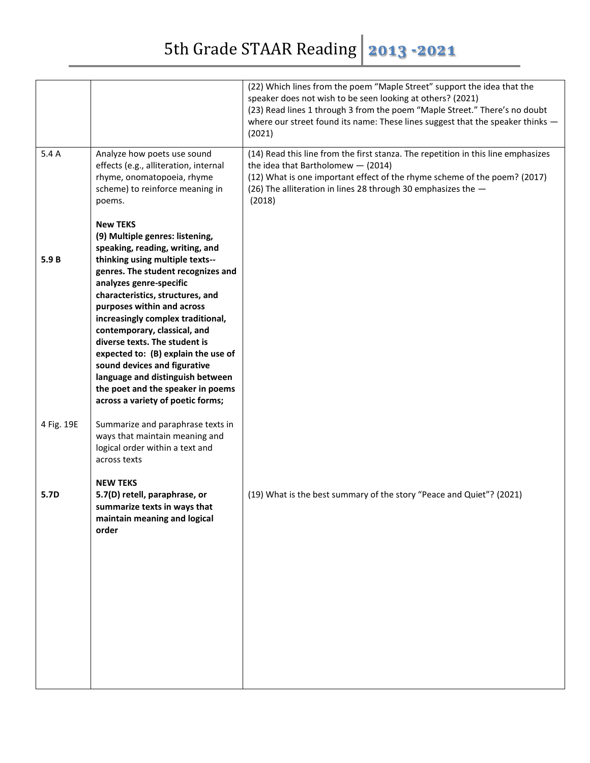|            |                                                                                                                                                                                                                                                                                                                                                                                                                                                                                                                                                        | (22) Which lines from the poem "Maple Street" support the idea that the<br>speaker does not wish to be seen looking at others? (2021)<br>(23) Read lines 1 through 3 from the poem "Maple Street." There's no doubt<br>where our street found its name: These lines suggest that the speaker thinks -<br>(2021) |
|------------|--------------------------------------------------------------------------------------------------------------------------------------------------------------------------------------------------------------------------------------------------------------------------------------------------------------------------------------------------------------------------------------------------------------------------------------------------------------------------------------------------------------------------------------------------------|-----------------------------------------------------------------------------------------------------------------------------------------------------------------------------------------------------------------------------------------------------------------------------------------------------------------|
| 5.4 A      | Analyze how poets use sound<br>effects (e.g., alliteration, internal<br>rhyme, onomatopoeia, rhyme<br>scheme) to reinforce meaning in<br>poems.                                                                                                                                                                                                                                                                                                                                                                                                        | (14) Read this line from the first stanza. The repetition in this line emphasizes<br>the idea that Bartholomew $-$ (2014)<br>(12) What is one important effect of the rhyme scheme of the poem? (2017)<br>(26) The alliteration in lines 28 through 30 emphasizes the -<br>(2018)                               |
| 5.9B       | <b>New TEKS</b><br>(9) Multiple genres: listening,<br>speaking, reading, writing, and<br>thinking using multiple texts--<br>genres. The student recognizes and<br>analyzes genre-specific<br>characteristics, structures, and<br>purposes within and across<br>increasingly complex traditional,<br>contemporary, classical, and<br>diverse texts. The student is<br>expected to: (B) explain the use of<br>sound devices and figurative<br>language and distinguish between<br>the poet and the speaker in poems<br>across a variety of poetic forms; |                                                                                                                                                                                                                                                                                                                 |
| 4 Fig. 19E | Summarize and paraphrase texts in<br>ways that maintain meaning and<br>logical order within a text and<br>across texts                                                                                                                                                                                                                                                                                                                                                                                                                                 |                                                                                                                                                                                                                                                                                                                 |
| 5.7D       | <b>NEW TEKS</b><br>5.7(D) retell, paraphrase, or<br>summarize texts in wavs that<br>maintain meaning and logical<br>order                                                                                                                                                                                                                                                                                                                                                                                                                              | (19) What is the best summary of the story "Peace and Quiet"? (2021)                                                                                                                                                                                                                                            |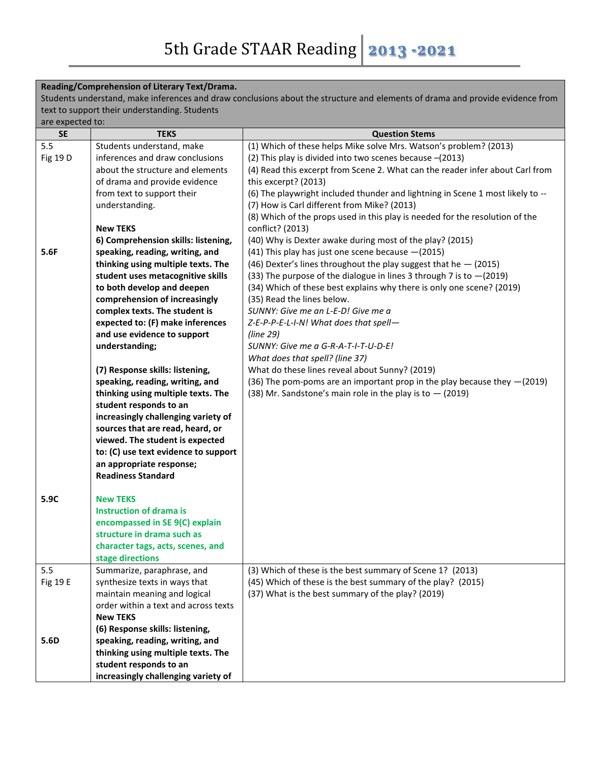**Reading/Comprehension of Literary Text/Drama.**

|                                               | Reading/Comprenension of Literary Text/Drama. |                                                                                                                               |
|-----------------------------------------------|-----------------------------------------------|-------------------------------------------------------------------------------------------------------------------------------|
|                                               |                                               | Students understand, make inferences and draw conclusions about the structure and elements of drama and provide evidence from |
| text to support their understanding. Students |                                               |                                                                                                                               |
| are expected to:                              |                                               |                                                                                                                               |
| <b>SE</b>                                     | <b>TEKS</b>                                   | <b>Question Stems</b>                                                                                                         |
| 5.5                                           | Students understand, make                     | (1) Which of these helps Mike solve Mrs. Watson's problem? (2013)                                                             |
| Fig 19 D                                      | inferences and draw conclusions               | (2) This play is divided into two scenes because -(2013)                                                                      |
|                                               | about the structure and elements              | (4) Read this excerpt from Scene 2. What can the reader infer about Carl from                                                 |
|                                               | of drama and provide evidence                 | this excerpt? (2013)                                                                                                          |
|                                               | from text to support their                    | (6) The playwright included thunder and lightning in Scene 1 most likely to --                                                |
|                                               | understanding.                                | (7) How is Carl different from Mike? (2013)                                                                                   |
|                                               |                                               | (8) Which of the props used in this play is needed for the resolution of the                                                  |
|                                               | <b>New TEKS</b>                               | conflict? (2013)                                                                                                              |
|                                               | 6) Comprehension skills: listening,           | (40) Why is Dexter awake during most of the play? (2015)                                                                      |
| 5.6F                                          | speaking, reading, writing, and               | (41) This play has just one scene because -(2015)                                                                             |
|                                               | thinking using multiple texts. The            | (46) Dexter's lines throughout the play suggest that he $-$ (2015)                                                            |
|                                               | student uses metacognitive skills             | (33) The purpose of the dialogue in lines 3 through 7 is to $-(2019)$                                                         |
|                                               | to both develop and deepen                    | (34) Which of these best explains why there is only one scene? (2019)                                                         |
|                                               | comprehension of increasingly                 | (35) Read the lines below.                                                                                                    |
|                                               | complex texts. The student is                 | SUNNY: Give me an L-E-D! Give me a                                                                                            |
|                                               | expected to: (F) make inferences              | Z-E-P-P-E-L-I-N! What does that spell-                                                                                        |
|                                               | and use evidence to support                   | (line 29)                                                                                                                     |
|                                               | understanding;                                | SUNNY: Give me a G-R-A-T-I-T-U-D-E!                                                                                           |
|                                               |                                               | What does that spell? (line 37)                                                                                               |
|                                               |                                               |                                                                                                                               |
|                                               | (7) Response skills: listening,               | What do these lines reveal about Sunny? (2019)                                                                                |
|                                               | speaking, reading, writing, and               | (36) The pom-poms are an important prop in the play because they -(2019)                                                      |
|                                               | thinking using multiple texts. The            | (38) Mr. Sandstone's main role in the play is to $-$ (2019)                                                                   |
|                                               | student responds to an                        |                                                                                                                               |
|                                               | increasingly challenging variety of           |                                                                                                                               |
|                                               | sources that are read, heard, or              |                                                                                                                               |
|                                               | viewed. The student is expected               |                                                                                                                               |
|                                               | to: (C) use text evidence to support          |                                                                                                                               |
|                                               | an appropriate response;                      |                                                                                                                               |
|                                               | <b>Readiness Standard</b>                     |                                                                                                                               |
|                                               |                                               |                                                                                                                               |
| 5.9C                                          | <b>New TEKS</b>                               |                                                                                                                               |
|                                               | <b>Instruction of drama is</b>                |                                                                                                                               |
|                                               | encompassed in SE 9(C) explain                |                                                                                                                               |
|                                               | structure in drama such as                    |                                                                                                                               |
|                                               | character tags, acts, scenes, and             |                                                                                                                               |
|                                               | stage directions                              |                                                                                                                               |
| 5.5                                           | Summarize, paraphrase, and                    | (3) Which of these is the best summary of Scene 1? (2013)                                                                     |
| Fig 19 E                                      | synthesize texts in ways that                 | (45) Which of these is the best summary of the play? (2015)                                                                   |
|                                               | maintain meaning and logical                  | (37) What is the best summary of the play? (2019)                                                                             |
|                                               | order within a text and across texts          |                                                                                                                               |
|                                               | <b>New TEKS</b>                               |                                                                                                                               |
|                                               | (6) Response skills: listening,               |                                                                                                                               |
| 5.6D                                          | speaking, reading, writing, and               |                                                                                                                               |
|                                               | thinking using multiple texts. The            |                                                                                                                               |
|                                               | student responds to an                        |                                                                                                                               |
|                                               | increasingly challenging variety of           |                                                                                                                               |
|                                               |                                               |                                                                                                                               |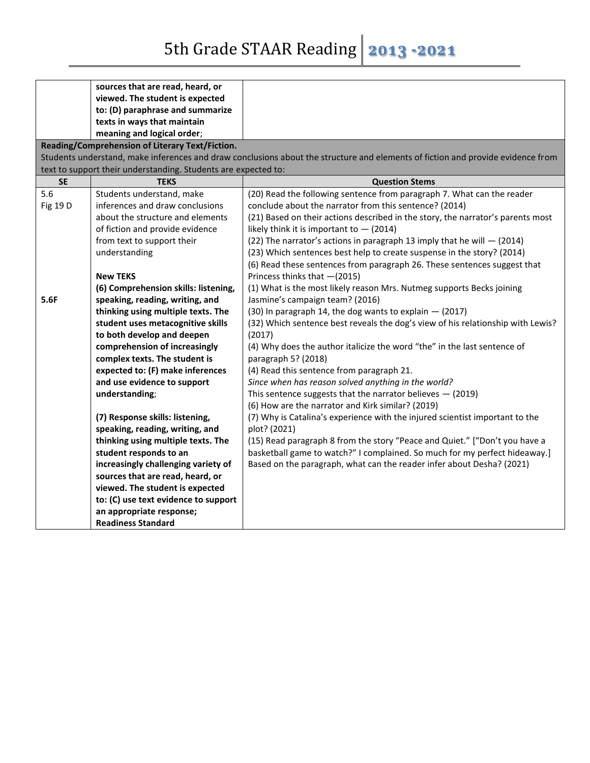5th Grade STAAR Reading 2013 -2021

|           | sources that are read, heard, or                               |                                                                                                                                 |
|-----------|----------------------------------------------------------------|---------------------------------------------------------------------------------------------------------------------------------|
|           | viewed. The student is expected                                |                                                                                                                                 |
|           | to: (D) paraphrase and summarize                               |                                                                                                                                 |
|           | texts in ways that maintain                                    |                                                                                                                                 |
|           | meaning and logical order;                                     |                                                                                                                                 |
|           | Reading/Comprehension of Literary Text/Fiction.                |                                                                                                                                 |
|           |                                                                | Students understand, make inferences and draw conclusions about the structure and elements of fiction and provide evidence from |
|           | text to support their understanding. Students are expected to: |                                                                                                                                 |
| <b>SE</b> | <b>TEKS</b>                                                    | <b>Question Stems</b>                                                                                                           |
| 5.6       | Students understand, make                                      | (20) Read the following sentence from paragraph 7. What can the reader                                                          |
| Fig 19 D  | inferences and draw conclusions                                | conclude about the narrator from this sentence? (2014)                                                                          |
|           | about the structure and elements                               | (21) Based on their actions described in the story, the narrator's parents most                                                 |
|           | of fiction and provide evidence                                | likely think it is important to $-$ (2014)                                                                                      |
|           | from text to support their                                     | (22) The narrator's actions in paragraph 13 imply that he will $-$ (2014)                                                       |
|           | understanding                                                  | (23) Which sentences best help to create suspense in the story? (2014)                                                          |
|           |                                                                | (6) Read these sentences from paragraph 26. These sentences suggest that                                                        |
|           | <b>New TEKS</b>                                                | Princess thinks that -(2015)                                                                                                    |
|           | (6) Comprehension skills: listening,                           | (1) What is the most likely reason Mrs. Nutmeg supports Becks joining                                                           |
| 5.6F      | speaking, reading, writing, and                                | Jasmine's campaign team? (2016)                                                                                                 |
|           | thinking using multiple texts. The                             | $(30)$ In paragraph 14, the dog wants to explain $-$ (2017)                                                                     |
|           | student uses metacognitive skills                              | (32) Which sentence best reveals the dog's view of his relationship with Lewis?                                                 |
|           | to both develop and deepen                                     | (2017)                                                                                                                          |
|           | comprehension of increasingly                                  | (4) Why does the author italicize the word "the" in the last sentence of                                                        |
|           | complex texts. The student is                                  | paragraph 5? (2018)                                                                                                             |
|           | expected to: (F) make inferences                               | (4) Read this sentence from paragraph 21.                                                                                       |
|           | and use evidence to support                                    | Since when has reason solved anything in the world?                                                                             |
|           | understanding;                                                 | This sentence suggests that the narrator believes $-$ (2019)                                                                    |
|           |                                                                | (6) How are the narrator and Kirk similar? (2019)                                                                               |
|           | (7) Response skills: listening,                                | (7) Why is Catalina's experience with the injured scientist important to the                                                    |
|           | speaking, reading, writing, and                                | plot? (2021)                                                                                                                    |
|           | thinking using multiple texts. The                             | (15) Read paragraph 8 from the story "Peace and Quiet." ["Don't you have a                                                      |
|           | student responds to an                                         | basketball game to watch?" I complained. So much for my perfect hideaway.]                                                      |
|           | increasingly challenging variety of                            | Based on the paragraph, what can the reader infer about Desha? (2021)                                                           |
|           | sources that are read, heard, or                               |                                                                                                                                 |
|           | viewed. The student is expected                                |                                                                                                                                 |
|           | to: (C) use text evidence to support                           |                                                                                                                                 |
|           | an appropriate response;                                       |                                                                                                                                 |
|           | <b>Readiness Standard</b>                                      |                                                                                                                                 |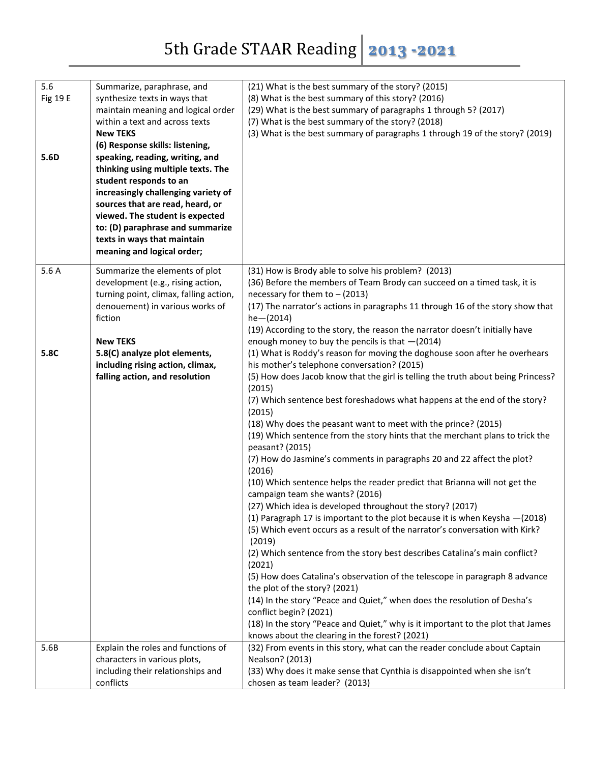| 5.6<br>Fig 19 E<br>5.6D | Summarize, paraphrase, and<br>synthesize texts in ways that<br>maintain meaning and logical order<br>within a text and across texts<br><b>New TEKS</b><br>(6) Response skills: listening,<br>speaking, reading, writing, and<br>thinking using multiple texts. The<br>student responds to an<br>increasingly challenging variety of<br>sources that are read, heard, or<br>viewed. The student is expected<br>to: (D) paraphrase and summarize<br>texts in ways that maintain | (21) What is the best summary of the story? (2015)<br>(8) What is the best summary of this story? (2016)<br>(29) What is the best summary of paragraphs 1 through 5? (2017)<br>(7) What is the best summary of the story? (2018)<br>(3) What is the best summary of paragraphs 1 through 19 of the story? (2019)                                                                                                                                                                                                                                                                                                                                                                                                                                                                                                                                                                                                                                                                                                                                                                                                                                                                                                                                                                                                                                                                    |
|-------------------------|-------------------------------------------------------------------------------------------------------------------------------------------------------------------------------------------------------------------------------------------------------------------------------------------------------------------------------------------------------------------------------------------------------------------------------------------------------------------------------|-------------------------------------------------------------------------------------------------------------------------------------------------------------------------------------------------------------------------------------------------------------------------------------------------------------------------------------------------------------------------------------------------------------------------------------------------------------------------------------------------------------------------------------------------------------------------------------------------------------------------------------------------------------------------------------------------------------------------------------------------------------------------------------------------------------------------------------------------------------------------------------------------------------------------------------------------------------------------------------------------------------------------------------------------------------------------------------------------------------------------------------------------------------------------------------------------------------------------------------------------------------------------------------------------------------------------------------------------------------------------------------|
|                         | meaning and logical order;                                                                                                                                                                                                                                                                                                                                                                                                                                                    |                                                                                                                                                                                                                                                                                                                                                                                                                                                                                                                                                                                                                                                                                                                                                                                                                                                                                                                                                                                                                                                                                                                                                                                                                                                                                                                                                                                     |
| 5.6A                    | Summarize the elements of plot<br>development (e.g., rising action,<br>turning point, climax, falling action,<br>denouement) in various works of<br>fiction<br><b>New TEKS</b>                                                                                                                                                                                                                                                                                                | (31) How is Brody able to solve his problem? (2013)<br>(36) Before the members of Team Brody can succeed on a timed task, it is<br>necessary for them to $-$ (2013)<br>(17) The narrator's actions in paragraphs 11 through 16 of the story show that<br>$he - (2014)$<br>(19) According to the story, the reason the narrator doesn't initially have<br>enough money to buy the pencils is that $-(2014)$                                                                                                                                                                                                                                                                                                                                                                                                                                                                                                                                                                                                                                                                                                                                                                                                                                                                                                                                                                          |
| 5.8C                    | 5.8(C) analyze plot elements,<br>including rising action, climax,<br>falling action, and resolution                                                                                                                                                                                                                                                                                                                                                                           | (1) What is Roddy's reason for moving the doghouse soon after he overhears<br>his mother's telephone conversation? (2015)<br>(5) How does Jacob know that the girl is telling the truth about being Princess?<br>(2015)<br>(7) Which sentence best foreshadows what happens at the end of the story?<br>(2015)<br>(18) Why does the peasant want to meet with the prince? (2015)<br>(19) Which sentence from the story hints that the merchant plans to trick the<br>peasant? (2015)<br>(7) How do Jasmine's comments in paragraphs 20 and 22 affect the plot?<br>(2016)<br>(10) Which sentence helps the reader predict that Brianna will not get the<br>campaign team she wants? (2016)<br>(27) Which idea is developed throughout the story? (2017)<br>(1) Paragraph 17 is important to the plot because it is when Keysha - (2018)<br>(5) Which event occurs as a result of the narrator's conversation with Kirk?<br>(2019)<br>(2) Which sentence from the story best describes Catalina's main conflict?<br>(2021)<br>(5) How does Catalina's observation of the telescope in paragraph 8 advance<br>the plot of the story? (2021)<br>(14) In the story "Peace and Quiet," when does the resolution of Desha's<br>conflict begin? (2021)<br>(18) In the story "Peace and Quiet," why is it important to the plot that James<br>knows about the clearing in the forest? (2021) |
| 5.6B                    | Explain the roles and functions of<br>characters in various plots,<br>including their relationships and<br>conflicts                                                                                                                                                                                                                                                                                                                                                          | (32) From events in this story, what can the reader conclude about Captain<br>Nealson? (2013)<br>(33) Why does it make sense that Cynthia is disappointed when she isn't<br>chosen as team leader? (2013)                                                                                                                                                                                                                                                                                                                                                                                                                                                                                                                                                                                                                                                                                                                                                                                                                                                                                                                                                                                                                                                                                                                                                                           |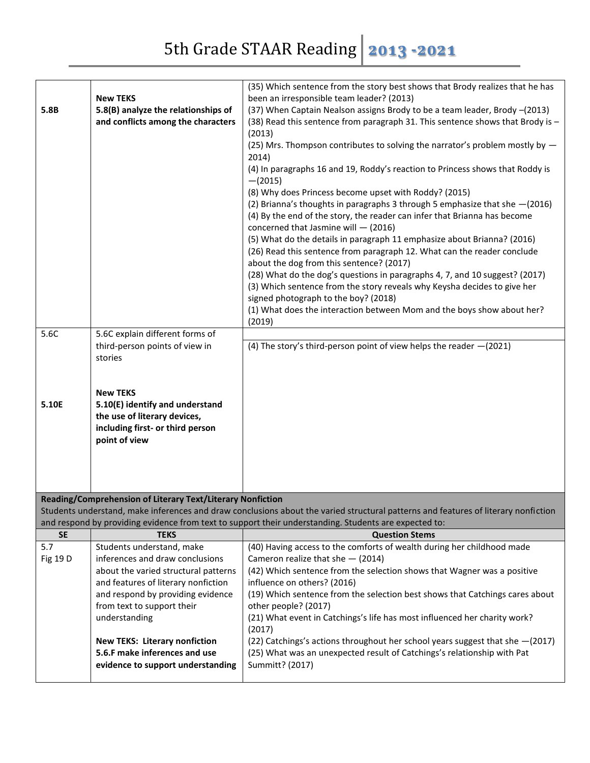|                  |                                                                       | (35) Which sentence from the story best shows that Brody realizes that he has                                                      |
|------------------|-----------------------------------------------------------------------|------------------------------------------------------------------------------------------------------------------------------------|
|                  | <b>New TEKS</b>                                                       | been an irresponsible team leader? (2013)                                                                                          |
| 5.8B             | 5.8(B) analyze the relationships of                                   | (37) When Captain Nealson assigns Brody to be a team leader, Brody -(2013)                                                         |
|                  | and conflicts among the characters                                    | (38) Read this sentence from paragraph 31. This sentence shows that Brody is -                                                     |
|                  |                                                                       | (2013)                                                                                                                             |
|                  |                                                                       | (25) Mrs. Thompson contributes to solving the narrator's problem mostly by -                                                       |
|                  |                                                                       | 2014)                                                                                                                              |
|                  |                                                                       | (4) In paragraphs 16 and 19, Roddy's reaction to Princess shows that Roddy is<br>$-(2015)$                                         |
|                  |                                                                       | (8) Why does Princess become upset with Roddy? (2015)                                                                              |
|                  |                                                                       | (2) Brianna's thoughts in paragraphs 3 through 5 emphasize that she -(2016)                                                        |
|                  |                                                                       | (4) By the end of the story, the reader can infer that Brianna has become                                                          |
|                  |                                                                       | concerned that Jasmine will $-$ (2016)                                                                                             |
|                  |                                                                       | (5) What do the details in paragraph 11 emphasize about Brianna? (2016)                                                            |
|                  |                                                                       | (26) Read this sentence from paragraph 12. What can the reader conclude                                                            |
|                  |                                                                       | about the dog from this sentence? (2017)                                                                                           |
|                  |                                                                       | (28) What do the dog's questions in paragraphs 4, 7, and 10 suggest? (2017)                                                        |
|                  |                                                                       | (3) Which sentence from the story reveals why Keysha decides to give her                                                           |
|                  |                                                                       | signed photograph to the boy? (2018)<br>(1) What does the interaction between Mom and the boys show about her?                     |
|                  |                                                                       | (2019)                                                                                                                             |
| 5.6C             | 5.6C explain different forms of                                       |                                                                                                                                    |
|                  | third-person points of view in                                        | (4) The story's third-person point of view helps the reader $-(2021)$                                                              |
|                  | stories                                                               |                                                                                                                                    |
|                  |                                                                       |                                                                                                                                    |
|                  |                                                                       |                                                                                                                                    |
|                  |                                                                       |                                                                                                                                    |
|                  | <b>New TEKS</b>                                                       |                                                                                                                                    |
| 5.10E            | 5.10(E) identify and understand                                       |                                                                                                                                    |
|                  | the use of literary devices,                                          |                                                                                                                                    |
|                  | including first- or third person                                      |                                                                                                                                    |
|                  | point of view                                                         |                                                                                                                                    |
|                  |                                                                       |                                                                                                                                    |
|                  |                                                                       |                                                                                                                                    |
|                  |                                                                       |                                                                                                                                    |
|                  | Reading/Comprehension of Literary Text/Literary Nonfiction            |                                                                                                                                    |
|                  |                                                                       | Students understand, make inferences and draw conclusions about the varied structural patterns and features of literary nonfiction |
|                  |                                                                       | and respond by providing evidence from text to support their understanding. Students are expected to:                              |
| <b>SE</b><br>5.7 | <b>TEKS</b>                                                           | <b>Question Stems</b>                                                                                                              |
| Fig 19 D         | Students understand, make<br>inferences and draw conclusions          | (40) Having access to the comforts of wealth during her childhood made                                                             |
|                  | about the varied structural patterns                                  | Cameron realize that she - (2014)<br>(42) Which sentence from the selection shows that Wagner was a positive                       |
|                  | and features of literary nonfiction                                   | influence on others? (2016)                                                                                                        |
|                  | and respond by providing evidence                                     | (19) Which sentence from the selection best shows that Catchings cares about                                                       |
|                  | from text to support their                                            | other people? (2017)                                                                                                               |
|                  | understanding                                                         | (21) What event in Catchings's life has most influenced her charity work?                                                          |
|                  |                                                                       | (2017)                                                                                                                             |
|                  | <b>New TEKS: Literary nonfiction</b><br>5.6.F make inferences and use | (22) Catchings's actions throughout her school years suggest that she -(2017)                                                      |
|                  | evidence to support understanding                                     | (25) What was an unexpected result of Catchings's relationship with Pat<br>Summitt? (2017)                                         |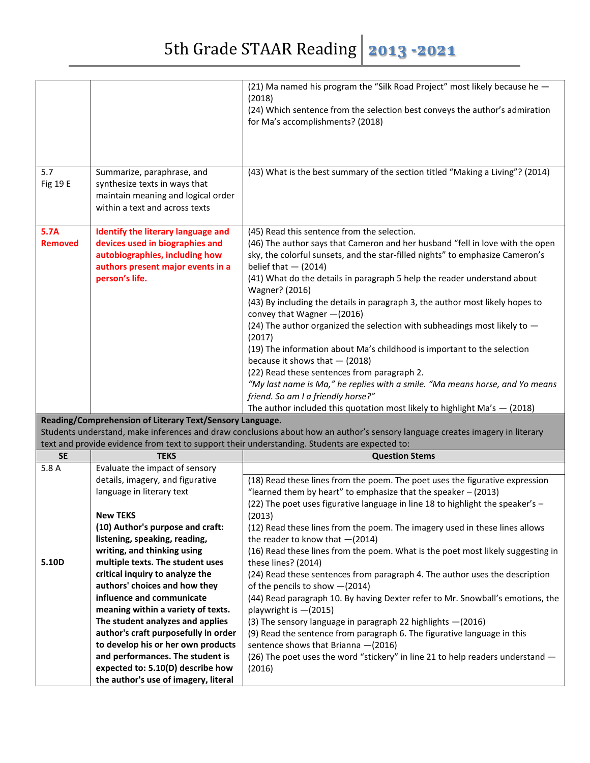## 5th Grade STAAR Reading 2013 -2021

|                        |                                                                                                                                                                                                                            | (21) Ma named his program the "Silk Road Project" most likely because he -<br>(2018)<br>(24) Which sentence from the selection best conveys the author's admiration<br>for Ma's accomplishments? (2018)                                                                                                                                                                                                                                                                                                                                                                                                                                                                                                                                                                                                                                                                                                         |
|------------------------|----------------------------------------------------------------------------------------------------------------------------------------------------------------------------------------------------------------------------|-----------------------------------------------------------------------------------------------------------------------------------------------------------------------------------------------------------------------------------------------------------------------------------------------------------------------------------------------------------------------------------------------------------------------------------------------------------------------------------------------------------------------------------------------------------------------------------------------------------------------------------------------------------------------------------------------------------------------------------------------------------------------------------------------------------------------------------------------------------------------------------------------------------------|
|                        |                                                                                                                                                                                                                            |                                                                                                                                                                                                                                                                                                                                                                                                                                                                                                                                                                                                                                                                                                                                                                                                                                                                                                                 |
| 5.7<br><b>Fig 19 E</b> | Summarize, paraphrase, and<br>synthesize texts in ways that<br>maintain meaning and logical order<br>within a text and across texts                                                                                        | (43) What is the best summary of the section titled "Making a Living"? (2014)                                                                                                                                                                                                                                                                                                                                                                                                                                                                                                                                                                                                                                                                                                                                                                                                                                   |
| 5.7A<br><b>Removed</b> | Identify the literary language and<br>devices used in biographies and<br>autobiographies, including how<br>authors present major events in a<br>person's life.<br>Reading/Comprehension of Literary Text/Sensory Language. | (45) Read this sentence from the selection.<br>(46) The author says that Cameron and her husband "fell in love with the open<br>sky, the colorful sunsets, and the star-filled nights" to emphasize Cameron's<br>belief that $-$ (2014)<br>(41) What do the details in paragraph 5 help the reader understand about<br>Wagner? (2016)<br>(43) By including the details in paragraph 3, the author most likely hopes to<br>convey that Wagner - (2016)<br>(24) The author organized the selection with subheadings most likely to -<br>(2017)<br>(19) The information about Ma's childhood is important to the selection<br>because it shows that $-$ (2018)<br>(22) Read these sentences from paragraph 2.<br>"My last name is Ma," he replies with a smile. "Ma means horse, and Yo means<br>friend. So am I a friendly horse?"<br>The author included this quotation most likely to highlight Ma's $-$ (2018) |
|                        |                                                                                                                                                                                                                            | Students understand, make inferences and draw conclusions about how an author's sensory language creates imagery in literary                                                                                                                                                                                                                                                                                                                                                                                                                                                                                                                                                                                                                                                                                                                                                                                    |
|                        |                                                                                                                                                                                                                            | text and provide evidence from text to support their understanding. Students are expected to:                                                                                                                                                                                                                                                                                                                                                                                                                                                                                                                                                                                                                                                                                                                                                                                                                   |
| <b>SE</b>              | <b>TEKS</b>                                                                                                                                                                                                                | <b>Question Stems</b>                                                                                                                                                                                                                                                                                                                                                                                                                                                                                                                                                                                                                                                                                                                                                                                                                                                                                           |
| 5.8 A                  | Evaluate the impact of sensory                                                                                                                                                                                             |                                                                                                                                                                                                                                                                                                                                                                                                                                                                                                                                                                                                                                                                                                                                                                                                                                                                                                                 |
|                        | details, imagery, and figurative                                                                                                                                                                                           | (18) Read these lines from the poem. The poet uses the figurative expression                                                                                                                                                                                                                                                                                                                                                                                                                                                                                                                                                                                                                                                                                                                                                                                                                                    |
|                        | language in literary text                                                                                                                                                                                                  | "learned them by heart" to emphasize that the speaker $-$ (2013)                                                                                                                                                                                                                                                                                                                                                                                                                                                                                                                                                                                                                                                                                                                                                                                                                                                |
|                        |                                                                                                                                                                                                                            | (22) The poet uses figurative language in line 18 to highlight the speaker's -                                                                                                                                                                                                                                                                                                                                                                                                                                                                                                                                                                                                                                                                                                                                                                                                                                  |
|                        | <b>New TEKS</b><br>(10) Author's purpose and craft:                                                                                                                                                                        | (2013)                                                                                                                                                                                                                                                                                                                                                                                                                                                                                                                                                                                                                                                                                                                                                                                                                                                                                                          |
|                        | listening, speaking, reading,                                                                                                                                                                                              | (12) Read these lines from the poem. The imagery used in these lines allows<br>the reader to know that $-(2014)$                                                                                                                                                                                                                                                                                                                                                                                                                                                                                                                                                                                                                                                                                                                                                                                                |
|                        | writing, and thinking using                                                                                                                                                                                                | (16) Read these lines from the poem. What is the poet most likely suggesting in                                                                                                                                                                                                                                                                                                                                                                                                                                                                                                                                                                                                                                                                                                                                                                                                                                 |
| 5.10D                  | multiple texts. The student uses                                                                                                                                                                                           | these lines? (2014)                                                                                                                                                                                                                                                                                                                                                                                                                                                                                                                                                                                                                                                                                                                                                                                                                                                                                             |
|                        | critical inquiry to analyze the                                                                                                                                                                                            | (24) Read these sentences from paragraph 4. The author uses the description                                                                                                                                                                                                                                                                                                                                                                                                                                                                                                                                                                                                                                                                                                                                                                                                                                     |
|                        | authors' choices and how they                                                                                                                                                                                              | of the pencils to show -(2014)                                                                                                                                                                                                                                                                                                                                                                                                                                                                                                                                                                                                                                                                                                                                                                                                                                                                                  |
|                        | influence and communicate                                                                                                                                                                                                  | (44) Read paragraph 10. By having Dexter refer to Mr. Snowball's emotions, the                                                                                                                                                                                                                                                                                                                                                                                                                                                                                                                                                                                                                                                                                                                                                                                                                                  |
|                        | meaning within a variety of texts.                                                                                                                                                                                         | playwright is -(2015)                                                                                                                                                                                                                                                                                                                                                                                                                                                                                                                                                                                                                                                                                                                                                                                                                                                                                           |
|                        | The student analyzes and applies                                                                                                                                                                                           | (3) The sensory language in paragraph 22 highlights -(2016)                                                                                                                                                                                                                                                                                                                                                                                                                                                                                                                                                                                                                                                                                                                                                                                                                                                     |
|                        | author's craft purposefully in order                                                                                                                                                                                       | (9) Read the sentence from paragraph 6. The figurative language in this                                                                                                                                                                                                                                                                                                                                                                                                                                                                                                                                                                                                                                                                                                                                                                                                                                         |
|                        | to develop his or her own products                                                                                                                                                                                         | sentence shows that Brianna - (2016)                                                                                                                                                                                                                                                                                                                                                                                                                                                                                                                                                                                                                                                                                                                                                                                                                                                                            |
|                        | and performances. The student is                                                                                                                                                                                           | (26) The poet uses the word "stickery" in line 21 to help readers understand -                                                                                                                                                                                                                                                                                                                                                                                                                                                                                                                                                                                                                                                                                                                                                                                                                                  |
|                        | expected to: 5.10(D) describe how                                                                                                                                                                                          | (2016)                                                                                                                                                                                                                                                                                                                                                                                                                                                                                                                                                                                                                                                                                                                                                                                                                                                                                                          |
|                        | the author's use of imagery, literal                                                                                                                                                                                       |                                                                                                                                                                                                                                                                                                                                                                                                                                                                                                                                                                                                                                                                                                                                                                                                                                                                                                                 |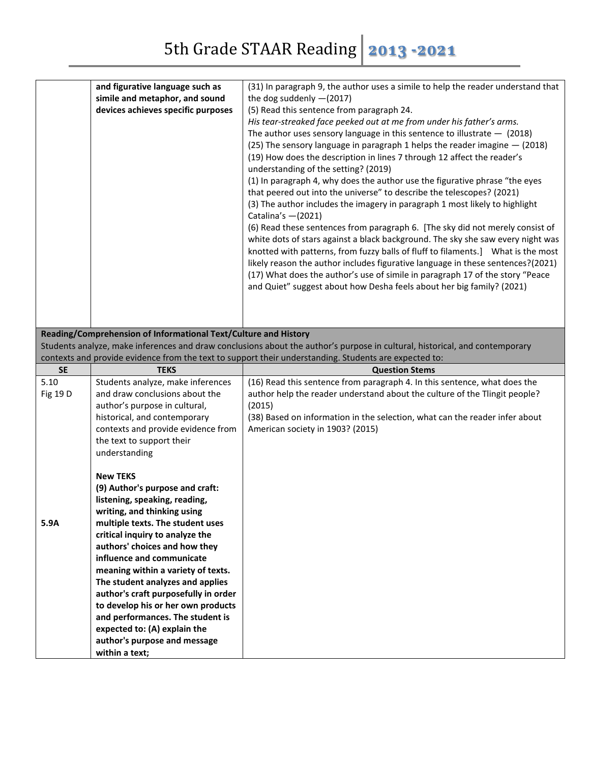|           | and figurative language such as<br>simile and metaphor, and sound<br>devices achieves specific purposes                                                                                                                                                                                                                                                                                                                                                                                                                               | (31) In paragraph 9, the author uses a simile to help the reader understand that<br>the dog suddenly $-(2017)$<br>(5) Read this sentence from paragraph 24.<br>His tear-streaked face peeked out at me from under his father's arms.<br>The author uses sensory language in this sentence to illustrate $-$ (2018)<br>(25) The sensory language in paragraph 1 helps the reader imagine $-$ (2018)<br>(19) How does the description in lines 7 through 12 affect the reader's<br>understanding of the setting? (2019) |
|-----------|---------------------------------------------------------------------------------------------------------------------------------------------------------------------------------------------------------------------------------------------------------------------------------------------------------------------------------------------------------------------------------------------------------------------------------------------------------------------------------------------------------------------------------------|-----------------------------------------------------------------------------------------------------------------------------------------------------------------------------------------------------------------------------------------------------------------------------------------------------------------------------------------------------------------------------------------------------------------------------------------------------------------------------------------------------------------------|
|           |                                                                                                                                                                                                                                                                                                                                                                                                                                                                                                                                       | (1) In paragraph 4, why does the author use the figurative phrase "the eyes<br>that peered out into the universe" to describe the telescopes? (2021)<br>(3) The author includes the imagery in paragraph 1 most likely to highlight<br>Catalina's $-(2021)$<br>(6) Read these sentences from paragraph 6. [The sky did not merely consist of                                                                                                                                                                          |
|           |                                                                                                                                                                                                                                                                                                                                                                                                                                                                                                                                       | white dots of stars against a black background. The sky she saw every night was<br>knotted with patterns, from fuzzy balls of fluff to filaments.] What is the most<br>likely reason the author includes figurative language in these sentences?(2021)<br>(17) What does the author's use of simile in paragraph 17 of the story "Peace<br>and Quiet" suggest about how Desha feels about her big family? (2021)                                                                                                      |
|           | Reading/Comprehension of Informational Text/Culture and History                                                                                                                                                                                                                                                                                                                                                                                                                                                                       |                                                                                                                                                                                                                                                                                                                                                                                                                                                                                                                       |
|           |                                                                                                                                                                                                                                                                                                                                                                                                                                                                                                                                       | Students analyze, make inferences and draw conclusions about the author's purpose in cultural, historical, and contemporary                                                                                                                                                                                                                                                                                                                                                                                           |
| <b>SE</b> | <b>TEKS</b>                                                                                                                                                                                                                                                                                                                                                                                                                                                                                                                           | contexts and provide evidence from the text to support their understanding. Students are expected to:<br><b>Question Stems</b>                                                                                                                                                                                                                                                                                                                                                                                        |
| 5.10      | Students analyze, make inferences                                                                                                                                                                                                                                                                                                                                                                                                                                                                                                     | (16) Read this sentence from paragraph 4. In this sentence, what does the                                                                                                                                                                                                                                                                                                                                                                                                                                             |
| Fig 19 D  | and draw conclusions about the<br>author's purpose in cultural,<br>historical, and contemporary<br>contexts and provide evidence from<br>the text to support their<br>understanding                                                                                                                                                                                                                                                                                                                                                   | author help the reader understand about the culture of the Tlingit people?<br>(2015)<br>(38) Based on information in the selection, what can the reader infer about<br>American society in 1903? (2015)                                                                                                                                                                                                                                                                                                               |
| 5.9A      | <b>New TEKS</b><br>(9) Author's purpose and craft:<br>listening, speaking, reading,<br>writing, and thinking using<br>multiple texts. The student uses<br>critical inquiry to analyze the<br>authors' choices and how they<br>influence and communicate<br>meaning within a variety of texts.<br>The student analyzes and applies<br>author's craft purposefully in order<br>to develop his or her own products<br>and performances. The student is<br>expected to: (A) explain the<br>author's purpose and message<br>within a text; |                                                                                                                                                                                                                                                                                                                                                                                                                                                                                                                       |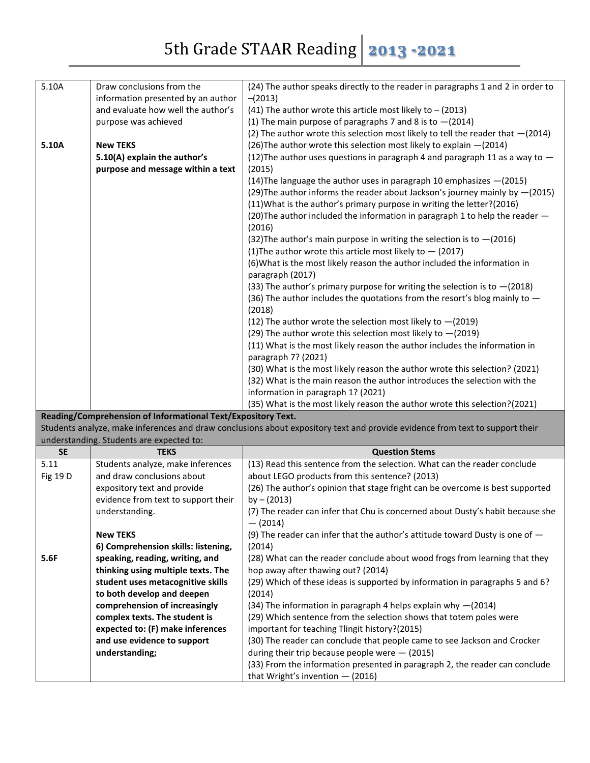| 5.10A     | Draw conclusions from the                                              | (24) The author speaks directly to the reader in paragraphs 1 and 2 in order to                                              |
|-----------|------------------------------------------------------------------------|------------------------------------------------------------------------------------------------------------------------------|
|           | information presented by an author                                     | $-(2013)$                                                                                                                    |
|           | and evaluate how well the author's                                     | (41) The author wrote this article most likely to $-$ (2013)                                                                 |
|           | purpose was achieved                                                   | (1) The main purpose of paragraphs 7 and 8 is to $-(2014)$                                                                   |
|           |                                                                        | (2) The author wrote this selection most likely to tell the reader that $-(2014)$                                            |
| 5.10A     | <b>New TEKS</b>                                                        | (26) The author wrote this selection most likely to explain - (2014)                                                         |
|           | 5.10(A) explain the author's                                           | (12) The author uses questions in paragraph 4 and paragraph 11 as a way to $-$                                               |
|           | purpose and message within a text                                      | (2015)                                                                                                                       |
|           |                                                                        | (14) The language the author uses in paragraph 10 emphasizes - (2015)                                                        |
|           |                                                                        | (29) The author informs the reader about Jackson's journey mainly by -(2015)                                                 |
|           |                                                                        | (11) What is the author's primary purpose in writing the letter? (2016)                                                      |
|           |                                                                        | (20) The author included the information in paragraph 1 to help the reader -                                                 |
|           |                                                                        | (2016)                                                                                                                       |
|           |                                                                        | (32) The author's main purpose in writing the selection is to $-(2016)$                                                      |
|           |                                                                        | (1) The author wrote this article most likely to $-$ (2017)                                                                  |
|           |                                                                        | (6) What is the most likely reason the author included the information in                                                    |
|           |                                                                        | paragraph (2017)                                                                                                             |
|           |                                                                        | (33) The author's primary purpose for writing the selection is to $-(2018)$                                                  |
|           |                                                                        | (36) The author includes the quotations from the resort's blog mainly to $-$                                                 |
|           |                                                                        | (2018)                                                                                                                       |
|           |                                                                        | (12) The author wrote the selection most likely to $-(2019)$                                                                 |
|           |                                                                        | (29) The author wrote this selection most likely to $-(2019)$                                                                |
|           |                                                                        | (11) What is the most likely reason the author includes the information in                                                   |
|           |                                                                        | paragraph 7? (2021)                                                                                                          |
|           |                                                                        | (30) What is the most likely reason the author wrote this selection? (2021)                                                  |
|           |                                                                        | (32) What is the main reason the author introduces the selection with the                                                    |
|           |                                                                        |                                                                                                                              |
|           |                                                                        | information in paragraph 1? (2021)                                                                                           |
|           |                                                                        | (35) What is the most likely reason the author wrote this selection?(2021)                                                   |
|           | Reading/Comprehension of Informational Text/Expository Text.           |                                                                                                                              |
|           |                                                                        | Students analyze, make inferences and draw conclusions about expository text and provide evidence from text to support their |
|           | understanding. Students are expected to:                               |                                                                                                                              |
| <b>SE</b> | <b>TEKS</b>                                                            | <b>Question Stems</b>                                                                                                        |
| 5.11      | Students analyze, make inferences                                      | (13) Read this sentence from the selection. What can the reader conclude                                                     |
| Fig 19 D  | and draw conclusions about                                             | about LEGO products from this sentence? (2013)                                                                               |
|           | expository text and provide                                            | (26) The author's opinion that stage fright can be overcome is best supported                                                |
|           | evidence from text to support their                                    | by $- (2013)$                                                                                                                |
|           | understanding.                                                         | (7) The reader can infer that Chu is concerned about Dusty's habit because she                                               |
|           |                                                                        | $-$ (2014)                                                                                                                   |
|           | <b>New TEKS</b>                                                        | (9) The reader can infer that the author's attitude toward Dusty is one of $-$                                               |
| 5.6F      | 6) Comprehension skills: listening,<br>speaking, reading, writing, and | (2014)<br>(28) What can the reader conclude about wood frogs from learning that they                                         |
|           | thinking using multiple texts. The                                     | hop away after thawing out? (2014)                                                                                           |
|           | student uses metacognitive skills                                      | (29) Which of these ideas is supported by information in paragraphs 5 and 6?                                                 |
|           | to both develop and deepen                                             | (2014)                                                                                                                       |
|           | comprehension of increasingly                                          | (34) The information in paragraph 4 helps explain why $-(2014)$                                                              |
|           | complex texts. The student is                                          | (29) Which sentence from the selection shows that totem poles were                                                           |
|           | expected to: (F) make inferences                                       | important for teaching Tlingit history?(2015)                                                                                |
|           | and use evidence to support                                            | (30) The reader can conclude that people came to see Jackson and Crocker                                                     |
|           | understanding;                                                         | during their trip because people were $-$ (2015)                                                                             |
|           |                                                                        | (33) From the information presented in paragraph 2, the reader can conclude<br>that Wright's invention $-$ (2016)            |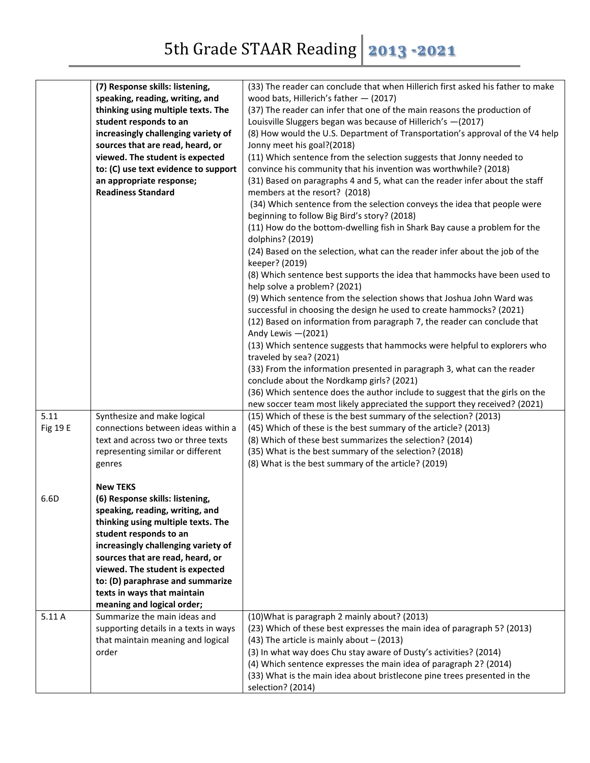|          | (7) Response skills: listening,                       | (33) The reader can conclude that when Hillerich first asked his father to make                                          |
|----------|-------------------------------------------------------|--------------------------------------------------------------------------------------------------------------------------|
|          | speaking, reading, writing, and                       | wood bats, Hillerich's father - (2017)                                                                                   |
|          | thinking using multiple texts. The                    | (37) The reader can infer that one of the main reasons the production of                                                 |
|          | student responds to an                                | Louisville Sluggers began was because of Hillerich's -(2017)                                                             |
|          | increasingly challenging variety of                   | (8) How would the U.S. Department of Transportation's approval of the V4 help                                            |
|          | sources that are read, heard, or                      | Jonny meet his goal?(2018)                                                                                               |
|          | viewed. The student is expected                       | (11) Which sentence from the selection suggests that Jonny needed to                                                     |
|          |                                                       |                                                                                                                          |
|          | to: (C) use text evidence to support                  | convince his community that his invention was worthwhile? (2018)                                                         |
|          | an appropriate response;<br><b>Readiness Standard</b> | (31) Based on paragraphs 4 and 5, what can the reader infer about the staff<br>members at the resort? (2018)             |
|          |                                                       | (34) Which sentence from the selection conveys the idea that people were<br>beginning to follow Big Bird's story? (2018) |
|          |                                                       | (11) How do the bottom-dwelling fish in Shark Bay cause a problem for the<br>dolphins? (2019)                            |
|          |                                                       | (24) Based on the selection, what can the reader infer about the job of the                                              |
|          |                                                       | keeper? (2019)                                                                                                           |
|          |                                                       | (8) Which sentence best supports the idea that hammocks have been used to<br>help solve a problem? (2021)                |
|          |                                                       | (9) Which sentence from the selection shows that Joshua John Ward was                                                    |
|          |                                                       | successful in choosing the design he used to create hammocks? (2021)                                                     |
|          |                                                       | (12) Based on information from paragraph 7, the reader can conclude that                                                 |
|          |                                                       | Andy Lewis -(2021)                                                                                                       |
|          |                                                       | (13) Which sentence suggests that hammocks were helpful to explorers who                                                 |
|          |                                                       | traveled by sea? (2021)                                                                                                  |
|          |                                                       | (33) From the information presented in paragraph 3, what can the reader                                                  |
|          |                                                       | conclude about the Nordkamp girls? (2021)                                                                                |
|          |                                                       | (36) Which sentence does the author include to suggest that the girls on the                                             |
|          |                                                       | new soccer team most likely appreciated the support they received? (2021)                                                |
| 5.11     | Synthesize and make logical                           | (15) Which of these is the best summary of the selection? (2013)                                                         |
|          | connections between ideas within a                    | (45) Which of these is the best summary of the article? (2013)                                                           |
| Fig 19 E |                                                       |                                                                                                                          |
|          | text and across two or three texts                    | (8) Which of these best summarizes the selection? (2014)                                                                 |
|          | representing similar or different                     | (35) What is the best summary of the selection? (2018)                                                                   |
|          | genres                                                | (8) What is the best summary of the article? (2019)                                                                      |
|          |                                                       |                                                                                                                          |
|          | <b>New TEKS</b>                                       |                                                                                                                          |
| 6.6D     | (6) Response skills: listening,                       |                                                                                                                          |
|          | speaking, reading, writing, and                       |                                                                                                                          |
|          | thinking using multiple texts. The                    |                                                                                                                          |
|          | student responds to an                                |                                                                                                                          |
|          | increasingly challenging variety of                   |                                                                                                                          |
|          | sources that are read, heard, or                      |                                                                                                                          |
|          | viewed. The student is expected                       |                                                                                                                          |
|          | to: (D) paraphrase and summarize                      |                                                                                                                          |
|          | texts in ways that maintain                           |                                                                                                                          |
|          | meaning and logical order;                            |                                                                                                                          |
| 5.11 A   | Summarize the main ideas and                          | (10) What is paragraph 2 mainly about? (2013)                                                                            |
|          | supporting details in a texts in ways                 | (23) Which of these best expresses the main idea of paragraph 5? (2013)                                                  |
|          | that maintain meaning and logical                     | $(43)$ The article is mainly about $- (2013)$                                                                            |
|          | order                                                 | (3) In what way does Chu stay aware of Dusty's activities? (2014)                                                        |
|          |                                                       | (4) Which sentence expresses the main idea of paragraph 2? (2014)                                                        |
|          |                                                       | (33) What is the main idea about bristlecone pine trees presented in the                                                 |
|          |                                                       | selection? (2014)                                                                                                        |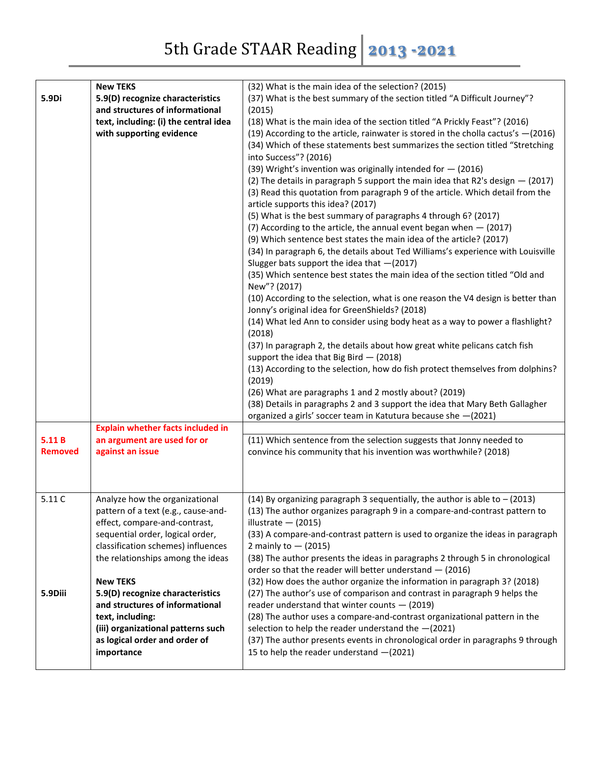| 5.9Di                   | <b>New TEKS</b><br>5.9(D) recognize characteristics<br>and structures of informational<br>text, including: (i) the central idea<br>with supporting evidence                                                                                                                                                                                                                                                              | (32) What is the main idea of the selection? (2015)<br>(37) What is the best summary of the section titled "A Difficult Journey"?<br>(2015)<br>(18) What is the main idea of the section titled "A Prickly Feast"? (2016)<br>(19) According to the article, rainwater is stored in the cholla cactus's $-(2016)$<br>(34) Which of these statements best summarizes the section titled "Stretching<br>into Success"? (2016)<br>(39) Wright's invention was originally intended for $-$ (2016)<br>(2) The details in paragraph 5 support the main idea that R2's design $-$ (2017)<br>(3) Read this quotation from paragraph 9 of the article. Which detail from the<br>article supports this idea? (2017)<br>(5) What is the best summary of paragraphs 4 through 6? (2017)<br>(7) According to the article, the annual event began when $-$ (2017)<br>(9) Which sentence best states the main idea of the article? (2017)<br>(34) In paragraph 6, the details about Ted Williams's experience with Louisville<br>Slugger bats support the idea that $-(2017)$<br>(35) Which sentence best states the main idea of the section titled "Old and<br>New"? (2017)<br>(10) According to the selection, what is one reason the V4 design is better than<br>Jonny's original idea for GreenShields? (2018)<br>(14) What led Ann to consider using body heat as a way to power a flashlight?<br>(2018)<br>(37) In paragraph 2, the details about how great white pelicans catch fish<br>support the idea that Big Bird $-$ (2018)<br>(13) According to the selection, how do fish protect themselves from dolphins?<br>(2019)<br>(26) What are paragraphs 1 and 2 mostly about? (2019)<br>(38) Details in paragraphs 2 and 3 support the idea that Mary Beth Gallagher<br>organized a girls' soccer team in Katutura because she -(2021) |
|-------------------------|--------------------------------------------------------------------------------------------------------------------------------------------------------------------------------------------------------------------------------------------------------------------------------------------------------------------------------------------------------------------------------------------------------------------------|----------------------------------------------------------------------------------------------------------------------------------------------------------------------------------------------------------------------------------------------------------------------------------------------------------------------------------------------------------------------------------------------------------------------------------------------------------------------------------------------------------------------------------------------------------------------------------------------------------------------------------------------------------------------------------------------------------------------------------------------------------------------------------------------------------------------------------------------------------------------------------------------------------------------------------------------------------------------------------------------------------------------------------------------------------------------------------------------------------------------------------------------------------------------------------------------------------------------------------------------------------------------------------------------------------------------------------------------------------------------------------------------------------------------------------------------------------------------------------------------------------------------------------------------------------------------------------------------------------------------------------------------------------------------------------------------------------------------------------------------------------------------------------------------------------------------------------|
| 5.11B<br><b>Removed</b> | <b>Explain whether facts included in</b><br>an argument are used for or<br>against an issue                                                                                                                                                                                                                                                                                                                              | (11) Which sentence from the selection suggests that Jonny needed to<br>convince his community that his invention was worthwhile? (2018)                                                                                                                                                                                                                                                                                                                                                                                                                                                                                                                                                                                                                                                                                                                                                                                                                                                                                                                                                                                                                                                                                                                                                                                                                                                                                                                                                                                                                                                                                                                                                                                                                                                                                         |
| 5.11 C<br>5.9Diii       | Analyze how the organizational<br>pattern of a text (e.g., cause-and-<br>effect, compare-and-contrast,<br>sequential order, logical order,<br>classification schemes) influences<br>the relationships among the ideas<br><b>New TEKS</b><br>5.9(D) recognize characteristics<br>and structures of informational<br>text, including:<br>(iii) organizational patterns such<br>as logical order and order of<br>importance | (14) By organizing paragraph 3 sequentially, the author is able to $-$ (2013)<br>(13) The author organizes paragraph 9 in a compare-and-contrast pattern to<br>illustrate $-$ (2015)<br>(33) A compare-and-contrast pattern is used to organize the ideas in paragraph<br>2 mainly to $-$ (2015)<br>(38) The author presents the ideas in paragraphs 2 through 5 in chronological<br>order so that the reader will better understand $-$ (2016)<br>(32) How does the author organize the information in paragraph 3? (2018)<br>(27) The author's use of comparison and contrast in paragraph 9 helps the<br>reader understand that winter counts $-$ (2019)<br>(28) The author uses a compare-and-contrast organizational pattern in the<br>selection to help the reader understand the $-(2021)$<br>(37) The author presents events in chronological order in paragraphs 9 through<br>15 to help the reader understand -(2021)                                                                                                                                                                                                                                                                                                                                                                                                                                                                                                                                                                                                                                                                                                                                                                                                                                                                                                  |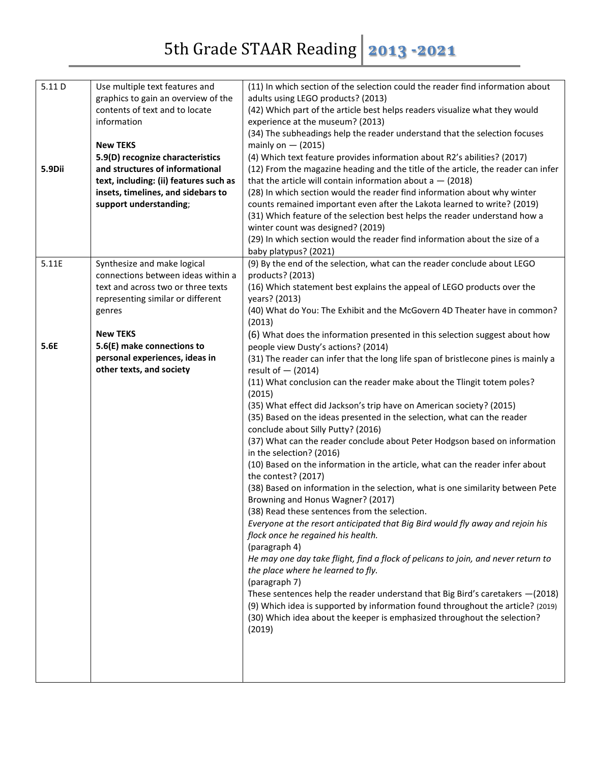| 5.11D  | Use multiple text features and<br>graphics to gain an overview of the        | (11) In which section of the selection could the reader find information about<br>adults using LEGO products? (2013)                     |
|--------|------------------------------------------------------------------------------|------------------------------------------------------------------------------------------------------------------------------------------|
|        | contents of text and to locate                                               | (42) Which part of the article best helps readers visualize what they would                                                              |
|        | information                                                                  | experience at the museum? (2013)                                                                                                         |
|        |                                                                              | (34) The subheadings help the reader understand that the selection focuses                                                               |
|        | <b>New TEKS</b>                                                              | mainly on $-$ (2015)                                                                                                                     |
|        | 5.9(D) recognize characteristics                                             | (4) Which text feature provides information about R2's abilities? (2017)                                                                 |
| 5.9Dii | and structures of informational                                              | (12) From the magazine heading and the title of the article, the reader can infer                                                        |
|        | text, including: (ii) features such as<br>insets, timelines, and sidebars to | that the article will contain information about $a - (2018)$<br>(28) In which section would the reader find information about why winter |
|        | support understanding;                                                       | counts remained important even after the Lakota learned to write? (2019)                                                                 |
|        |                                                                              | (31) Which feature of the selection best helps the reader understand how a                                                               |
|        |                                                                              | winter count was designed? (2019)                                                                                                        |
|        |                                                                              | (29) In which section would the reader find information about the size of a                                                              |
|        |                                                                              | baby platypus? (2021)                                                                                                                    |
| 5.11E  | Synthesize and make logical                                                  | (9) By the end of the selection, what can the reader conclude about LEGO                                                                 |
|        | connections between ideas within a                                           | products? (2013)                                                                                                                         |
|        | text and across two or three texts<br>representing similar or different      | (16) Which statement best explains the appeal of LEGO products over the<br>years? (2013)                                                 |
|        | genres                                                                       | (40) What do You: The Exhibit and the McGovern 4D Theater have in common?                                                                |
|        |                                                                              | (2013)                                                                                                                                   |
|        | <b>New TEKS</b>                                                              | (6) What does the information presented in this selection suggest about how                                                              |
| 5.6E   | 5.6(E) make connections to                                                   | people view Dusty's actions? (2014)                                                                                                      |
|        | personal experiences, ideas in<br>other texts, and society                   | (31) The reader can infer that the long life span of bristlecone pines is mainly a<br>result of $-$ (2014)                               |
|        |                                                                              | (11) What conclusion can the reader make about the Tlingit totem poles?<br>(2015)                                                        |
|        |                                                                              | (35) What effect did Jackson's trip have on American society? (2015)                                                                     |
|        |                                                                              | (35) Based on the ideas presented in the selection, what can the reader                                                                  |
|        |                                                                              | conclude about Silly Putty? (2016)                                                                                                       |
|        |                                                                              | (37) What can the reader conclude about Peter Hodgson based on information<br>in the selection? (2016)                                   |
|        |                                                                              | (10) Based on the information in the article, what can the reader infer about<br>the contest? (2017)                                     |
|        |                                                                              | (38) Based on information in the selection, what is one similarity between Pete                                                          |
|        |                                                                              | Browning and Honus Wagner? (2017)                                                                                                        |
|        |                                                                              | (38) Read these sentences from the selection.                                                                                            |
|        |                                                                              | Everyone at the resort anticipated that Big Bird would fly away and rejoin his                                                           |
|        |                                                                              | flock once he regained his health.<br>(paragraph 4)                                                                                      |
|        |                                                                              | He may one day take flight, find a flock of pelicans to join, and never return to                                                        |
|        |                                                                              | the place where he learned to fly.                                                                                                       |
|        |                                                                              | (paragraph 7)                                                                                                                            |
|        |                                                                              | These sentences help the reader understand that Big Bird's caretakers $-(2018)$                                                          |
|        |                                                                              | (9) Which idea is supported by information found throughout the article? (2019)                                                          |
|        |                                                                              | (30) Which idea about the keeper is emphasized throughout the selection?<br>(2019)                                                       |
|        |                                                                              |                                                                                                                                          |
|        |                                                                              |                                                                                                                                          |
|        |                                                                              |                                                                                                                                          |
|        |                                                                              |                                                                                                                                          |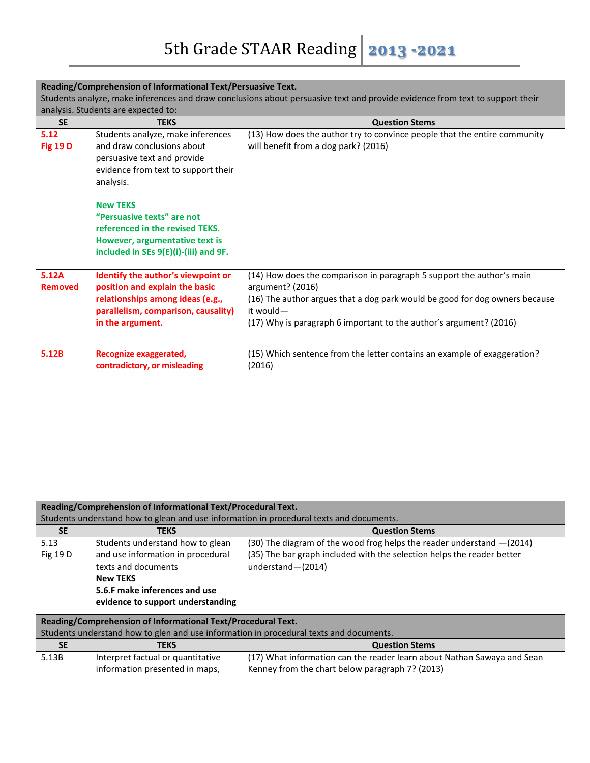| Reading/Comprehension of Informational Text/Persuasive Text.                                                                 |                                                                                        |                                                                                         |  |  |
|------------------------------------------------------------------------------------------------------------------------------|----------------------------------------------------------------------------------------|-----------------------------------------------------------------------------------------|--|--|
| Students analyze, make inferences and draw conclusions about persuasive text and provide evidence from text to support their |                                                                                        |                                                                                         |  |  |
|                                                                                                                              | analysis. Students are expected to:                                                    |                                                                                         |  |  |
| <b>SE</b>                                                                                                                    | <b>TEKS</b>                                                                            | <b>Question Stems</b>                                                                   |  |  |
| 5.12                                                                                                                         | Students analyze, make inferences                                                      | (13) How does the author try to convince people that the entire community               |  |  |
| <b>Fig 19 D</b>                                                                                                              | and draw conclusions about                                                             | will benefit from a dog park? (2016)                                                    |  |  |
|                                                                                                                              | persuasive text and provide                                                            |                                                                                         |  |  |
|                                                                                                                              | evidence from text to support their                                                    |                                                                                         |  |  |
|                                                                                                                              | analysis.                                                                              |                                                                                         |  |  |
|                                                                                                                              | <b>New TEKS</b>                                                                        |                                                                                         |  |  |
|                                                                                                                              | "Persuasive texts" are not                                                             |                                                                                         |  |  |
|                                                                                                                              | referenced in the revised TEKS.                                                        |                                                                                         |  |  |
|                                                                                                                              | However, argumentative text is                                                         |                                                                                         |  |  |
|                                                                                                                              | included in SEs 9(E)(i)-(iii) and 9F.                                                  |                                                                                         |  |  |
|                                                                                                                              |                                                                                        |                                                                                         |  |  |
| 5.12A                                                                                                                        | Identify the author's viewpoint or                                                     | (14) How does the comparison in paragraph 5 support the author's main                   |  |  |
| <b>Removed</b>                                                                                                               | position and explain the basic                                                         | argument? (2016)                                                                        |  |  |
|                                                                                                                              | relationships among ideas (e.g.,                                                       | (16) The author argues that a dog park would be good for dog owners because             |  |  |
|                                                                                                                              | parallelism, comparison, causality)                                                    | it would-                                                                               |  |  |
|                                                                                                                              | in the argument.                                                                       | (17) Why is paragraph 6 important to the author's argument? (2016)                      |  |  |
|                                                                                                                              |                                                                                        |                                                                                         |  |  |
| 5.12B                                                                                                                        | Recognize exaggerated,                                                                 | (15) Which sentence from the letter contains an example of exaggeration?                |  |  |
|                                                                                                                              | contradictory, or misleading                                                           | (2016)                                                                                  |  |  |
|                                                                                                                              |                                                                                        |                                                                                         |  |  |
|                                                                                                                              |                                                                                        |                                                                                         |  |  |
|                                                                                                                              |                                                                                        |                                                                                         |  |  |
|                                                                                                                              |                                                                                        |                                                                                         |  |  |
|                                                                                                                              |                                                                                        |                                                                                         |  |  |
|                                                                                                                              |                                                                                        |                                                                                         |  |  |
|                                                                                                                              |                                                                                        |                                                                                         |  |  |
|                                                                                                                              |                                                                                        |                                                                                         |  |  |
|                                                                                                                              |                                                                                        |                                                                                         |  |  |
|                                                                                                                              |                                                                                        |                                                                                         |  |  |
|                                                                                                                              | Reading/Comprehension of Informational Text/Procedural Text.                           |                                                                                         |  |  |
|                                                                                                                              |                                                                                        | Students understand how to glean and use information in procedural texts and documents. |  |  |
| <b>SE</b>                                                                                                                    | <b>TEKS</b>                                                                            | <b>Question Stems</b>                                                                   |  |  |
| 5.13                                                                                                                         | Students understand how to glean                                                       | (30) The diagram of the wood frog helps the reader understand -(2014)                   |  |  |
| Fig 19 D                                                                                                                     | and use information in procedural                                                      | (35) The bar graph included with the selection helps the reader better                  |  |  |
|                                                                                                                              | texts and documents                                                                    | understand-(2014)                                                                       |  |  |
|                                                                                                                              | <b>New TEKS</b>                                                                        |                                                                                         |  |  |
|                                                                                                                              | 5.6.F make inferences and use                                                          |                                                                                         |  |  |
|                                                                                                                              | evidence to support understanding                                                      |                                                                                         |  |  |
| Reading/Comprehension of Informational Text/Procedural Text.                                                                 |                                                                                        |                                                                                         |  |  |
|                                                                                                                              | Students understand how to glen and use information in procedural texts and documents. |                                                                                         |  |  |
| <b>SE</b>                                                                                                                    | <b>TEKS</b>                                                                            | <b>Question Stems</b>                                                                   |  |  |
| 5.13B                                                                                                                        | Interpret factual or quantitative                                                      | (17) What information can the reader learn about Nathan Sawaya and Sean                 |  |  |
|                                                                                                                              | information presented in maps,                                                         | Kenney from the chart below paragraph 7? (2013)                                         |  |  |
|                                                                                                                              |                                                                                        |                                                                                         |  |  |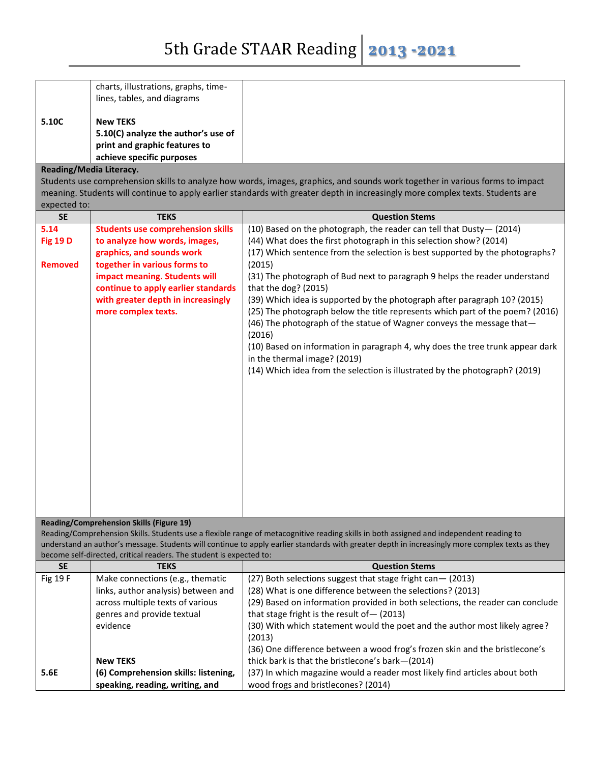|       | charts, illustrations, graphs, time-<br>lines, tables, and diagrams |
|-------|---------------------------------------------------------------------|
| 5.10C | <b>New TEKS</b>                                                     |
|       | 5.10(C) analyze the author's use of                                 |
|       | print and graphic features to                                       |
|       | achieve specific purposes                                           |

## **Reading/Media Literacy.**

Students use comprehension skills to analyze how words, images, graphics, and sounds work together in various forms to impact meaning. Students will continue to apply earlier standards with greater depth in increasingly more complex texts. Students are expected to:

| <b>SE</b>             | <b>TEKS</b>                                                                        | <b>Question Stems</b>                                                                                                                                            |
|-----------------------|------------------------------------------------------------------------------------|------------------------------------------------------------------------------------------------------------------------------------------------------------------|
| 5.14                  | <b>Students use comprehension skills</b>                                           | (10) Based on the photograph, the reader can tell that Dusty-(2014)                                                                                              |
| <b>Fig 19 D</b>       | to analyze how words, images,                                                      | (44) What does the first photograph in this selection show? (2014)                                                                                               |
|                       | graphics, and sounds work                                                          | (17) Which sentence from the selection is best supported by the photographs?                                                                                     |
| <b>Removed</b>        | together in various forms to                                                       | (2015)                                                                                                                                                           |
|                       | impact meaning. Students will                                                      | (31) The photograph of Bud next to paragraph 9 helps the reader understand                                                                                       |
|                       | continue to apply earlier standards                                                | that the dog? (2015)                                                                                                                                             |
|                       | with greater depth in increasingly                                                 | (39) Which idea is supported by the photograph after paragraph 10? (2015)                                                                                        |
|                       | more complex texts.                                                                | (25) The photograph below the title represents which part of the poem? (2016)<br>(46) The photograph of the statue of Wagner conveys the message that-<br>(2016) |
|                       |                                                                                    | (10) Based on information in paragraph 4, why does the tree trunk appear dark<br>in the thermal image? (2019)                                                    |
|                       |                                                                                    |                                                                                                                                                                  |
|                       |                                                                                    | (14) Which idea from the selection is illustrated by the photograph? (2019)                                                                                      |
|                       |                                                                                    |                                                                                                                                                                  |
|                       |                                                                                    |                                                                                                                                                                  |
|                       |                                                                                    |                                                                                                                                                                  |
|                       |                                                                                    |                                                                                                                                                                  |
|                       |                                                                                    |                                                                                                                                                                  |
|                       |                                                                                    |                                                                                                                                                                  |
|                       |                                                                                    |                                                                                                                                                                  |
|                       |                                                                                    |                                                                                                                                                                  |
|                       |                                                                                    |                                                                                                                                                                  |
|                       |                                                                                    |                                                                                                                                                                  |
|                       |                                                                                    |                                                                                                                                                                  |
|                       | <b>Reading/Comprehension Skills (Figure 19)</b>                                    |                                                                                                                                                                  |
|                       |                                                                                    | Reading/Comprehension Skills. Students use a flexible range of metacognitive reading skills in both assigned and independent reading to                          |
|                       |                                                                                    | understand an author's message. Students will continue to apply earlier standards with greater depth in increasingly more complex texts as they                  |
|                       | become self-directed, critical readers. The student is expected to:<br><b>TEKS</b> |                                                                                                                                                                  |
| <b>SE</b><br>Fig 19 F |                                                                                    | <b>Question Stems</b><br>(27) Both selections suggest that stage fright can-(2013)                                                                               |
|                       | Make connections (e.g., thematic<br>links, author analysis) between and            | (28) What is one difference between the selections? (2013)                                                                                                       |
|                       | across multiple texts of various                                                   | (29) Based on information provided in both selections, the reader can conclude                                                                                   |
|                       |                                                                                    |                                                                                                                                                                  |
|                       | genres and provide textual                                                         | that stage fright is the result of $-$ (2013)                                                                                                                    |
|                       | evidence                                                                           | (30) With which statement would the poet and the author most likely agree?<br>(2013)                                                                             |
|                       |                                                                                    | (36) One difference between a wood frog's frozen skin and the bristlecone's                                                                                      |
|                       | <b>New TEKS</b>                                                                    | thick bark is that the bristlecone's bark-(2014)                                                                                                                 |
| 5.6E                  | (6) Comprehension skills: listening,                                               | (37) In which magazine would a reader most likely find articles about both                                                                                       |
|                       | speaking, reading, writing, and                                                    | wood frogs and bristlecones? (2014)                                                                                                                              |
|                       |                                                                                    |                                                                                                                                                                  |